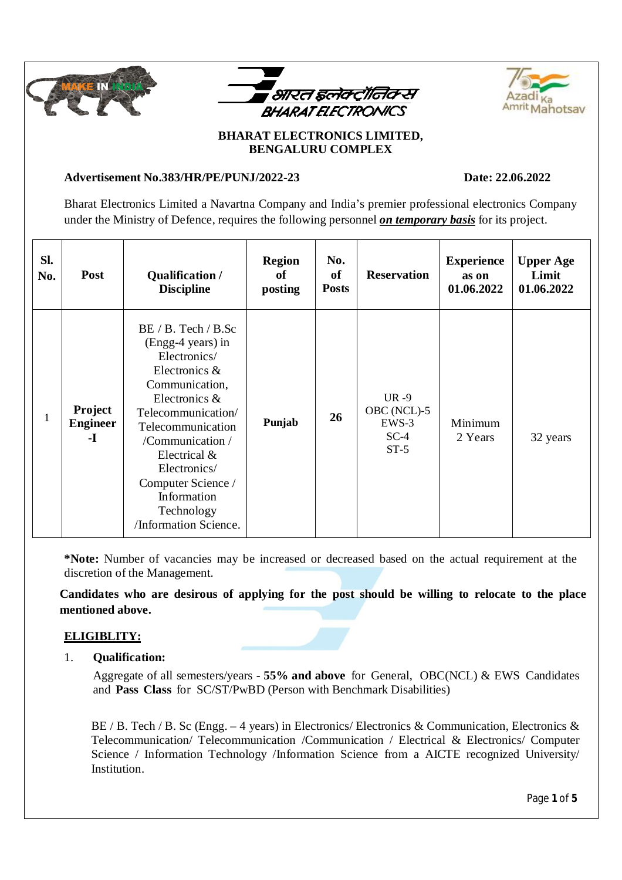





# **BHARAT ELECTRONICS LIMITED, BENGALURU COMPLEX**

## **Advertisement No.383/HR/PE/PUNJ/2022-23 Date: 22.06.2022**

Bharat Electronics Limited a Navartna Company and India's premier professional electronics Company under the Ministry of Defence, requires the following personnel *on temporary basis* for its project.

| SI.<br>No. | <b>Post</b>                             | Qualification /<br><b>Discipline</b>                                                                                                                                                                                                                                                  | <b>Region</b><br>of<br>posting | No.<br>of<br><b>Posts</b> | <b>Reservation</b>                                   | <b>Experience</b><br>as on<br>01.06.2022 | <b>Upper Age</b><br>Limit<br>01.06.2022 |
|------------|-----------------------------------------|---------------------------------------------------------------------------------------------------------------------------------------------------------------------------------------------------------------------------------------------------------------------------------------|--------------------------------|---------------------------|------------------------------------------------------|------------------------------------------|-----------------------------------------|
|            | <b>Project</b><br><b>Engineer</b><br>-1 | BE / B. Tech / B.<br>(Engg-4 years) in<br>Electronics/<br>Electronics &<br>Communication,<br>Electronics &<br>Telecommunication/<br>Telecommunication<br>/Communication /<br>Electrical &<br>Electronics/<br>Computer Science /<br>Information<br>Technology<br>/Information Science. | Punjab                         | 26                        | $UR - 9$<br>OBC (NCL)-5<br>EWS-3<br>$SC-4$<br>$ST-5$ | Minimum<br>2 Years                       | 32 years                                |

**\*Note:** Number of vacancies may be increased or decreased based on the actual requirement at the discretion of the Management.

**Candidates who are desirous of applying for the post should be willing to relocate to the place mentioned above.**

# **ELIGIBLITY:**

## 1. **Qualification:**

Aggregate of all semesters/years - **55% and above** for General, OBC(NCL) & EWS Candidates and **Pass Class** for SC/ST/PwBD (Person with Benchmark Disabilities)

BE / B. Tech / B. Sc (Engg. – 4 years) in Electronics/ Electronics & Communication, Electronics & Telecommunication/ Telecommunication /Communication / Electrical & Electronics/ Computer Science / Information Technology /Information Science from a AICTE recognized University/ Institution.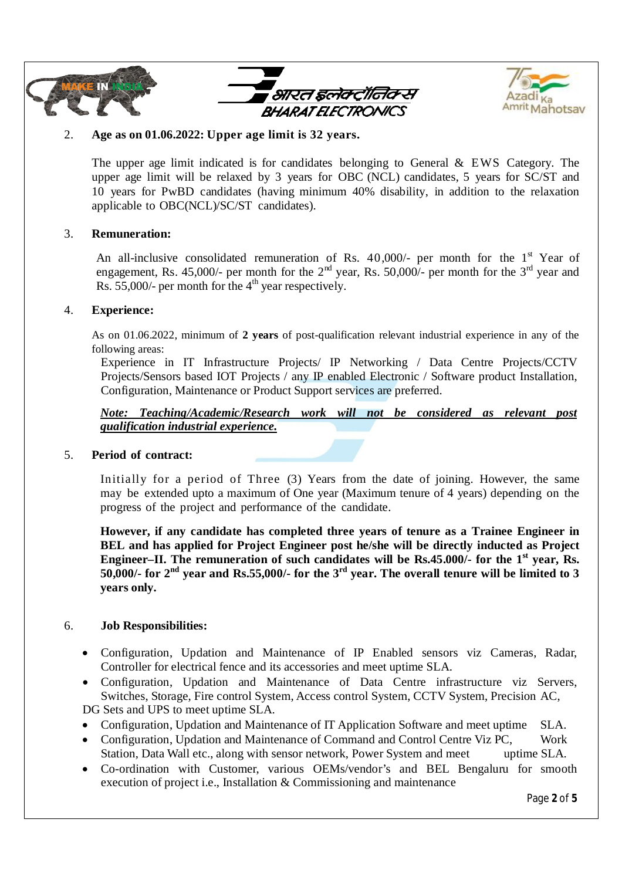





### 2. **Age as on 01.06.2022: Upper age limit is 32 years.**

The upper age limit indicated is for candidates belonging to General & EWS Category. The upper age limit will be relaxed by 3 years for OBC (NCL) candidates, 5 years for SC/ST and 10 years for PwBD candidates (having minimum 40% disability, in addition to the relaxation applicable to OBC(NCL)/SC/ST candidates).

#### 3. **Remuneration:**

An all-inclusive consolidated remuneration of Rs.  $40,000/$ - per month for the 1<sup>st</sup> Year of engagement, Rs. 45,000/- per month for the  $2<sup>nd</sup>$  year, Rs. 50,000/- per month for the  $3<sup>rd</sup>$  year and Rs. 55,000/- per month for the  $4<sup>th</sup>$  year respectively.

#### 4. **Experience:**

As on 01.06.2022, minimum of **2 years** of post-qualification relevant industrial experience in any of the following areas:

Experience in IT Infrastructure Projects/ IP Networking / Data Centre Projects/CCTV Projects/Sensors based IOT Projects / any IP enabled Electronic / Software product Installation, Configuration, Maintenance or Product Support services are preferred.

#### *Note: Teaching/Academic/Research work will not be considered as relevant post qualification industrial experience.*

#### 5. **Period of contract:**

Initially for a period of Three (3) Years from the date of joining. However, the same may be extended upto a maximum of One year (Maximum tenure of 4 years) depending on the progress of the project and performance of the candidate.

**However, if any candidate has completed three years of tenure as a Trainee Engineer in BEL and has applied for Project Engineer post he/she will be directly inducted as Project Engineer–II. The remuneration of such candidates will be Rs.45.000/- for the 1st year, Rs. 50,000/- for 2nd year and Rs.55,000/- for the 3rd year. The overall tenure will be limited to 3 years only.**

### 6. **Job Responsibilities:**

- Configuration, Updation and Maintenance of IP Enabled sensors viz Cameras, Radar, Controller for electrical fence and its accessories and meet uptime SLA.
- Configuration, Updation and Maintenance of Data Centre infrastructure viz Servers, Switches, Storage, Fire control System, Access control System, CCTV System, Precision AC,

DG Sets and UPS to meet uptime SLA.

- Configuration, Updation and Maintenance of IT Application Software and meet uptime SLA.
- Configuration, Updation and Maintenance of Command and Control Centre Viz PC, Work Station, Data Wall etc., along with sensor network, Power System and meet uptime SLA.
- Co-ordination with Customer, various OEMs/vendor's and BEL Bengaluru for smooth execution of project i.e., Installation & Commissioning and maintenance

Page **2** of **5**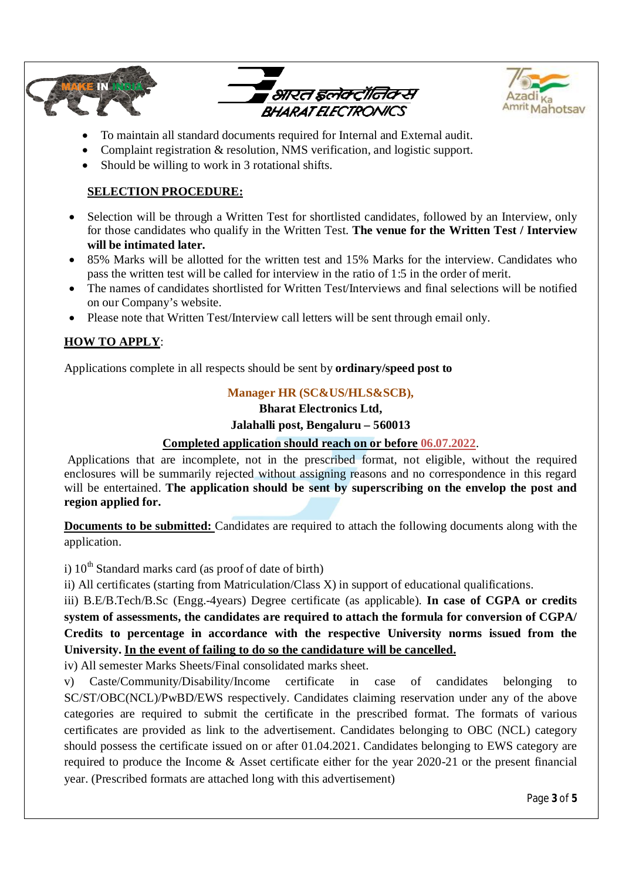



- To maintain all standard documents required for Internal and External audit.
- Complaint registration & resolution, NMS verification, and logistic support.
- Should be willing to work in 3 rotational shifts.

## **SELECTION PROCEDURE:**

- Selection will be through a Written Test for shortlisted candidates, followed by an Interview, only for those candidates who qualify in the Written Test. **The venue for the Written Test / Interview will be intimated later.**
- 85% Marks will be allotted for the written test and 15% Marks for the interview. Candidates who pass the written test will be called for interview in the ratio of 1:5 in the order of merit.
- The names of candidates shortlisted for Written Test/Interviews and final selections will be notified on our Company's website.
- Please note that Written Test/Interview call letters will be sent through email only.

## **HOW TO APPLY**:

Applications complete in all respects should be sent by **ordinary/speed post to**

### **Manager HR (SC&US/HLS&SCB),**

#### **Bharat Electronics Ltd,**

#### **Jalahalli post, Bengaluru – 560013**

### **Completed application should reach on or before 06.07.2022**.

Applications that are incomplete, not in the prescribed format, not eligible, without the required enclosures will be summarily rejected without assigning reasons and no correspondence in this regard will be entertained. **The application should be sent by superscribing on the envelop the post and region applied for.** 

**Documents to be submitted:** Candidates are required to attach the following documents along with the application.

i)  $10^{th}$  Standard marks card (as proof of date of birth)

ii) All certificates (starting from Matriculation/Class X) in support of educational qualifications.

iii) B.E/B.Tech/B.Sc (Engg.-4years) Degree certificate (as applicable). **In case of CGPA or credits system of assessments, the candidates are required to attach the formula for conversion of CGPA/ Credits to percentage in accordance with the respective University norms issued from the University. In the event of failing to do so the candidature will be cancelled.**

iv) All semester Marks Sheets/Final consolidated marks sheet.

v) Caste/Community/Disability/Income certificate in case of candidates belonging to SC/ST/OBC(NCL)/PwBD/EWS respectively. Candidates claiming reservation under any of the above categories are required to submit the certificate in the prescribed format. The formats of various certificates are provided as link to the advertisement. Candidates belonging to OBC (NCL) category should possess the certificate issued on or after 01.04.2021. Candidates belonging to EWS category are required to produce the Income & Asset certificate either for the year 2020-21 or the present financial year. (Prescribed formats are attached long with this advertisement)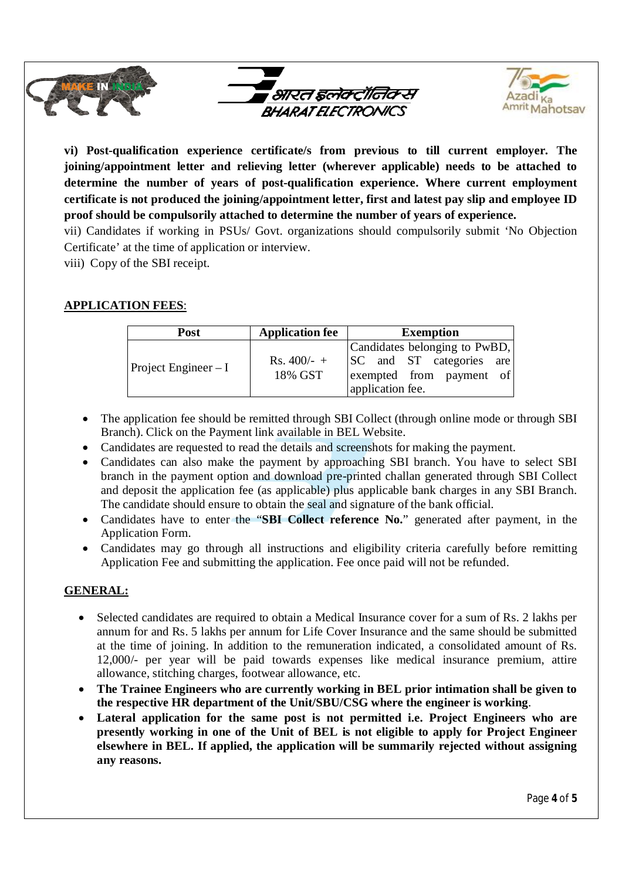

**vi) Post-qualification experience certificate/s from previous to till current employer. The joining/appointment letter and relieving letter (wherever applicable) needs to be attached to determine the number of years of post-qualification experience. Where current employment certificate is not produced the joining/appointment letter, first and latest pay slip and employee ID proof should be compulsorily attached to determine the number of years of experience.**

vii) Candidates if working in PSUs/ Govt. organizations should compulsorily submit 'No Objection Certificate' at the time of application or interview.

viii) Copy of the SBI receipt.

## **APPLICATION FEES**:

| Post                  | <b>Application fee</b>   | <b>Exemption</b>                                                                                          |
|-----------------------|--------------------------|-----------------------------------------------------------------------------------------------------------|
| Project Engineer $-I$ | $Rs. 400/- +$<br>18% GST | Candidates belonging to PwBD,<br>SC and ST categories are<br>exempted from payment of<br>application fee. |

- The application fee should be remitted through SBI Collect (through online mode or through SBI Branch). Click on the Payment link available in BEL Website.
- Candidates are requested to read the details and screenshots for making the payment.
- Candidates can also make the payment by approaching SBI branch. You have to select SBI branch in the payment option and download pre-printed challan generated through SBI Collect and deposit the application fee (as applicable) plus applicable bank charges in any SBI Branch. The candidate should ensure to obtain the seal and signature of the bank official.
- Candidates have to enter the "**SBI Collect reference No.**" generated after payment, in the Application Form.
- Candidates may go through all instructions and eligibility criteria carefully before remitting Application Fee and submitting the application. Fee once paid will not be refunded.

### **GENERAL:**

- Selected candidates are required to obtain a Medical Insurance cover for a sum of Rs. 2 lakhs per annum for and Rs. 5 lakhs per annum for Life Cover Insurance and the same should be submitted at the time of joining. In addition to the remuneration indicated, a consolidated amount of Rs. 12,000/- per year will be paid towards expenses like medical insurance premium, attire allowance, stitching charges, footwear allowance, etc.
- **The Trainee Engineers who are currently working in BEL prior intimation shall be given to the respective HR department of the Unit/SBU/CSG where the engineer is working**.
- **Lateral application for the same post is not permitted i.e. Project Engineers who are presently working in one of the Unit of BEL is not eligible to apply for Project Engineer elsewhere in BEL. If applied, the application will be summarily rejected without assigning any reasons.**